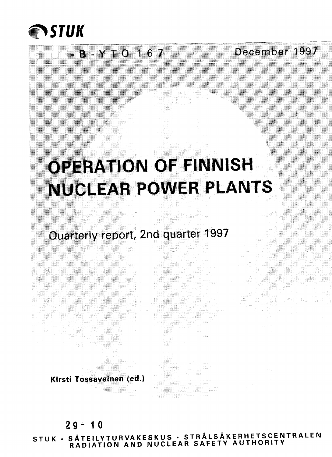

### $-B - Y + O$  1 6 7 December 1997

# OPERATION OF FINNISH NUCLEAR POWER PLANTS

Quarterly report, 2nd quarter 1997

**Kirsti Tossavainen led.)**

### $29 - 10$

**<5TUK . SATEILYTURVAKESKUS • STRALSAKERHETSCENTRALEN RADIATION AND NUCLEAR SAFETY AUTHORITY**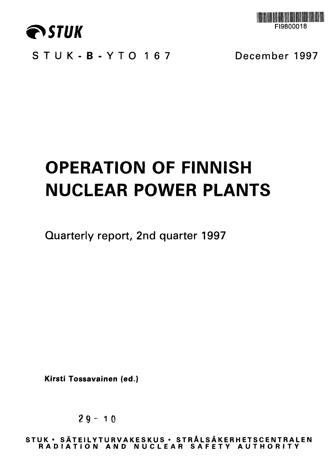



**STUK-B-YT O 16 7 December 1997**

# **OPERATION OF FINNISH NUCLEAR POWER PLANTS**

**Quarterly report, 2nd quarter 1997**

**Kirsti Tossavainen (ed.)**

**2 9 - 10**

**STU K • SATEILYTURVAKESKU S • STRAL S AKER H ETSC E NTR ALE N RADIATIO N AN D NUCLEA R SAFET Y AUTHORIT Y**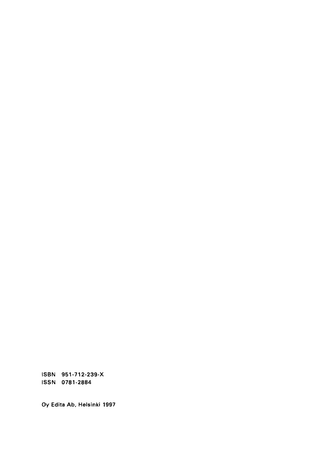ISBN 951-712-239-X ISSN 0781-2884

Oy Edita Ab, Helsinki 1997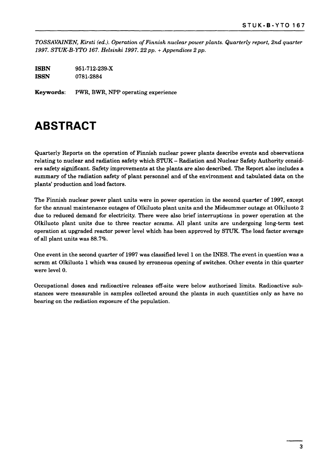*TOSSAVAINEN, Kirsti (ed.). Operation of Finnish nuclear power plants. Quarterly report, 2nd quarter 1997. STUK-B-YTO 167. Helsinki 1997. 22 pp. + Appendices 2 pp.*

**ISBN** 951-712-239-X **ISSN** 0781-2884

**Keywords:** PWR, BWR, NPP operating experience

### **ABSTRACT**

Quarterly Reports on the operation of Finnish nuclear power plants describe events and observations relating to nuclear and radiation safety which STUK - Radiation and Nuclear Safety Authority considers safety significant. Safety improvements at the plants are also described. The Report also includes a summary of the radiation safety of plant personnel and of the environment and tabulated data on the plants' production and load factors.

The Finnish nuclear power plant units were in power operation in the second quarter of 1997, except for the annual maintenance outages of Olkiluoto plant units and the Midsummer outage at Olkiluoto 2 due to reduced demand for electricity. There were also brief interruptions in power operation at the Olkiluoto plant units due to three reactor scrams. All plant units are undergoing long-term test operation at upgraded reactor power level which has been approved by STUK. The load factor average of all plant units was 88.7%.

One event in the second quarter of 1997 was classified level 1 on the INES. The event in question was a scram at Olkiluoto 1 which was caused by erroneous opening of switches. Other events in this quarter were level 0.

Occupational doses and radioactive releases off-site were below authorised limits. Radioactive substances were measurable in samples collected around the plants in such quantities only as have no bearing on the radiation exposure of the population.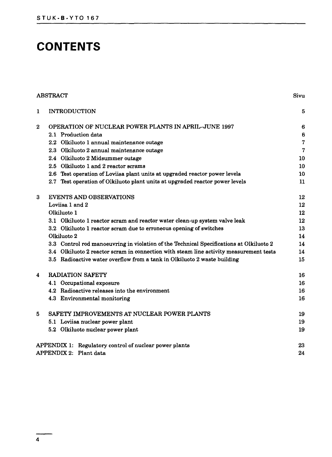## **CONTENTS**

|             | <b>ABSTRACT</b>                                                                         | Sivu           |  |  |  |
|-------------|-----------------------------------------------------------------------------------------|----------------|--|--|--|
| $\mathbf 1$ | <b>INTRODUCTION</b>                                                                     | 5              |  |  |  |
| $\bf{2}$    | OPERATION OF NUCLEAR POWER PLANTS IN APRIL-JUNE 1997                                    | 6              |  |  |  |
|             | 2.1 Production data                                                                     | 6              |  |  |  |
|             | 2.2 Olkiluoto 1 annual maintenance outage                                               | $\overline{7}$ |  |  |  |
|             | 2.3 Olkiluoto 2 annual maintenance outage                                               | $\overline{7}$ |  |  |  |
|             | 2.4 Olkiluoto 2 Midsummer outage                                                        | 10             |  |  |  |
|             | 2.5 Olkiluoto 1 and 2 reactor scrams                                                    | 10             |  |  |  |
|             | 2.6 Test operation of Loviisa plant units at upgraded reactor power levels              | 10             |  |  |  |
|             | 2.7 Test operation of Olkiluoto plant units at upgraded reactor power levels            | 11             |  |  |  |
| 3           | EVENTS AND OBSERVATIONS                                                                 | 12             |  |  |  |
|             | Loviisa 1 and 2                                                                         |                |  |  |  |
|             | Olkiluoto 1                                                                             | 12             |  |  |  |
|             | 3.1 Olkiluoto 1 reactor scram and reactor water clean-up system valve leak              | 12             |  |  |  |
|             | 3.2 Olkiluoto 1 reactor scram due to erroneous opening of switches                      | 13             |  |  |  |
|             | Olkiluoto 2                                                                             | 14             |  |  |  |
|             | 3.3 Control rod manoeuvring in violation of the Technical Specifications at Olkiluoto 2 | 14             |  |  |  |
|             | 3.4 Olkiluoto 2 reactor scram in connection with steam line activity measurement tests  | 14             |  |  |  |
|             | 3.5 Radioactive water overflow from a tank in Olkiluoto 2 waste building                | 15             |  |  |  |
| 4           | <b>RADIATION SAFETY</b>                                                                 | 16             |  |  |  |
|             | 4.1 Occupational exposure                                                               | 16             |  |  |  |
|             | 4.2 Radioactive releases into the environment                                           | 16             |  |  |  |
|             | 4.3 Environmental monitoring                                                            | 16             |  |  |  |
| 5           | SAFETY IMPROVEMENTS AT NUCLEAR POWER PLANTS                                             | 19             |  |  |  |
|             | 5.1 Loviisa nuclear power plant                                                         | 19             |  |  |  |
|             | 5.2 Olkiluoto nuclear power plant                                                       | 19             |  |  |  |
|             | APPENDIX 1: Regulatory control of nuclear power plants                                  | 23             |  |  |  |
|             | APPENDIX 2: Plant data                                                                  | 24             |  |  |  |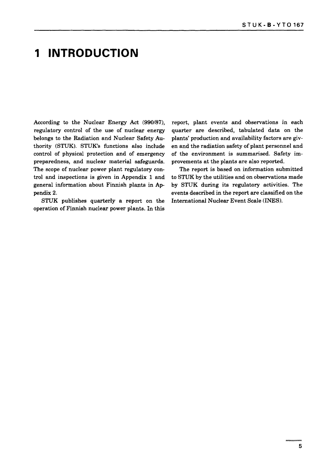### **1 INTRODUCTION**

According to the Nuclear Energy Act (990/87), regulatory control of the use of nuclear energy belongs to the Radiation and Nuclear Safety Authority (STUK). STUK's functions also include control of physical protection and of emergency preparedness, and nuclear material safeguards. The scope of nuclear power plant regulatory control and inspections is given in Appendix 1 and general information about Finnish plants in Appendix 2.

STUK publishes quarterly a report on the operation of Finnish nuclear power plants. In this

report, plant events and observations in each quarter are described, tabulated data on the plants' production and availability factors are given and the radiation safety of plant personnel and of the environment is summarised. Safety improvements at the plants are also reported.

The report is based on information submitted to STUK by the utilities and on observations made by STUK during its regulatory activities. The events described in the report are classified on the International Nuclear Event Scale (INES).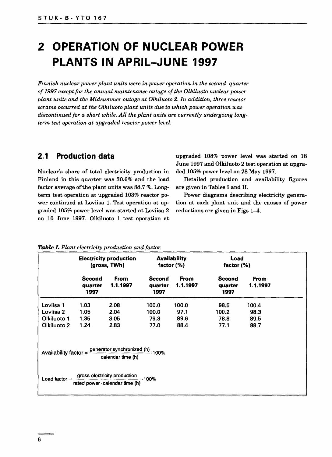### **2 OPERATION OF NUCLEAR POWER PLANTS IN APRIL-JUNE 1997**

*Finnish nuclear power plant units were in power operation in the second quarter of 1997 except for the annual maintenance outage of the Olkiluoto nuclear power plant units and the Midsummer outage at Olkiluoto 2. In addition, three reactor scrams occurred at the Olkiluoto plant units due to which power operation was discontinued for a short while. All the plant units are currently undergoing longterm test operation at upgraded reactor power level.*

#### **2.1 Production data**

Nuclear's share of total electricity production in Finland in this quarter was 30.6% and the load factor average of the plant units was 88.7 %. Longterm test operation at upgraded 103% reactor power continued at Loviisa 1. Test operation at upgraded 105% power level was started at Loviisa 2 on 10 June 1997. Olkiluoto 1 test operation at upgraded 108% power level was started on 18 June 1997 and Olkiluoto 2 test operation at upgraded 105% power level on 28 May 1997.

Detailed production and availability figures are given in Tables I and II.

Power diagrams describing electricity generation at each plant unit and the causes of power reductions are given in Figs 1-4.

|                   |                           | <b>Electricity production</b><br>(gross, TWh)                                                        |                                  | <b>Availability</b><br>factor $(%)$ |                           | Load<br>factor $(%)$    |  |
|-------------------|---------------------------|------------------------------------------------------------------------------------------------------|----------------------------------|-------------------------------------|---------------------------|-------------------------|--|
|                   | Second<br>quarter<br>1997 | <b>From</b><br>1.1.1997                                                                              | <b>Second</b><br>quarter<br>1997 | <b>From</b><br>1.1.1997             | Second<br>quarter<br>1997 | <b>From</b><br>1.1.1997 |  |
| Loviisa 1         | 1.03                      | 2.08                                                                                                 | 100.0                            | 100.0                               | 98.5                      | 100.4                   |  |
| Loviisa 2         | 1.05                      | 2.04                                                                                                 | 100.0                            | 97.1                                | 100.2                     | 98.3                    |  |
| Olkiluoto 1       | 1.35                      | 3.05                                                                                                 | 79.3                             | 89.6                                | 78.8                      | 89.5                    |  |
| Olkiluoto 2       | 1.24                      | 2.83                                                                                                 | 77.0                             | 88.4                                | 77.1                      | 88.7                    |  |
|                   |                           | Availability factor = $\frac{generator \text{ synchronized (h)}}{100\%}$ . 100%<br>calendar time (h) |                                  |                                     |                           |                         |  |
| Load factor $=$ - |                           | gross electricity production .100%<br>rated power calendar time (h)                                  |                                  |                                     |                           |                         |  |

#### *Table I. Plant electricity production and factor.*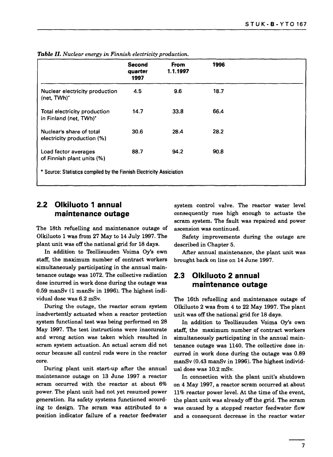|                                                                      | <b>Second</b><br>quarter<br>1997 | <b>From</b><br>1.1.1997 | 1996 |  |
|----------------------------------------------------------------------|----------------------------------|-------------------------|------|--|
| Nuclear electricity production<br>(net, TWh)'                        | 4.5                              | 9.6                     | 18.7 |  |
| Total electricity production<br>in Finland (net, TWh)*               | 14.7                             | 33.8                    | 66.4 |  |
| Nuclear's share of total<br>electricity production (%)               | 30.6                             | 28.4                    | 28.2 |  |
| Load factor averages<br>of Finnish plant units (%)                   | 88.7                             | 94.2                    | 90.8 |  |
| * Source: Statistics compiled by the Finnish Electricity Assiciation |                                  |                         |      |  |

*Table II. Nuclear energy in Finnish electricity production.*

#### **2.2 Olkiluoto 1 annual maintenance outage**

The 18th refuelling and maintenance outage of Olkiluoto 1 was from 27 May to 14 July 1997. The plant unit was off the national grid for 18 days.

In addition to Teollisuuden Voima Oy's own staff, the maximum number of contract workers simultaneously participating in the annual maintenance outage was 1072. The collective radiation dose incurred in work done during the outage was 0.59 manSv (1 manSv in 1996). The highest individual dose was 6.2 mSv.

During the outage, the reactor scram system inadvertently actuated when a reactor protection system functional test was being performed on 28 May 1997. The test instructions were inaccurate and wrong action was taken which resulted in scram system actuation. An actual scram did not occur because all control rods were in the reactor core.

During plant unit start-up after the annual maintenance outage on 13 June 1997 a reactor scram occurred with the reactor at about 6% power. The plant unit had not yet resumed power generation. Its safety systems functioned according to design. The scram was attributed to a position indicator failure of a reactor feedwater system control valve. The reactor water level consequently rose high enough to actuate the scram system. The fault was repaired and power ascension was continued.

Safety improvements during the outage are described in Chapter 5.

After annual maintenance, the plant unit was brought back on line on 14 June 1997.

#### **2.3 Olkiluoto 2 annual maintenance outage**

The 16th refuelling and maintenance outage of Olkiluoto 2 was from 4 to 22 May 1997. The plant unit was off the national grid for 18 days.

In addition to Teollisuuden Voima Oy's own staff, the maximum number of contract workers simultaneously participating in the annual maintenance outage was 1140. The collective dose incurred in work done during the outage was 0.89 manSv (0.43 manSv in 1996). The highest individual dose was 10.2 mSv.

In connection with the plant unit's shutdown on 4 May 1997, a reactor scram occurred at about 11% reactor power level. At the time of the event, the plant unit was already off the grid. The scram was caused by a stopped reactor feedwater flow and a consequent decrease in the reactor water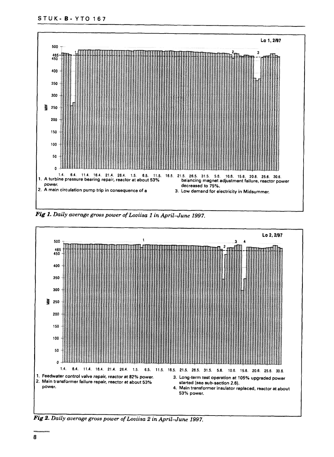

Fig 1. Daily average gross power of Loviisa 1 in April-June 1997.



*Fig 2. Daily average gross power ofLoviisa 2 in April-June 1997.*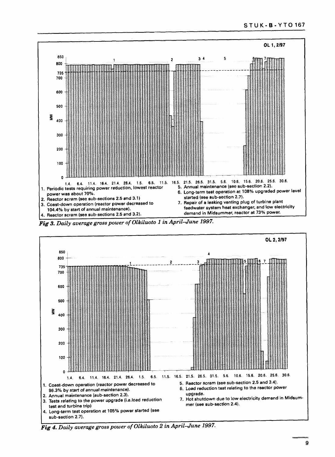

*Fig 3. Daily average gross power of Olkiluoto 1 in April-June 1997.*



*Fig 4. Daily average gross power of Olkiluoto 2 in April-June 1997.*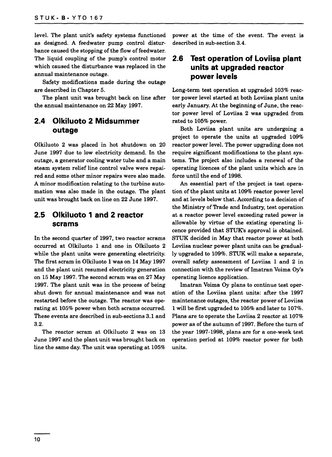level. The plant unit's safety systems functioned as designed. A feedwater pump control disturbance caused the stopping of the flow of feedwater. The liquid coupling of the pump's control motor which caused the disturbance was replaced in the annual maintenance outage.

Safety modifications made during the outage are described in Chapter 5.

The plant unit was brought back on line after the annual maintenance on 22 May 1997.

#### **2.4 Olkiluoto 2 Midsummer outage**

Olkiluoto 2 was placed in hot shutdown on 20 June 1997 due to low electricity demand. In the outage, a generator cooling water tube and a main steam system relief line control valve were repaired and some other minor repairs were also made. A minor modification relating to the turbine automation was also made in the outage. The plant unit was brought back on line on 22 June 1997.

#### **2.5 Olkiluoto 1 and 2 reactor scrams**

In the second quarter of 1997, two reactor scrams occurred at Olkiluoto 1 and one in Olkiluoto 2 while the plant units were generating electricity. The first scram in Olkiluoto 1 was on 14 May 1997 and the plant unit resumed electricity generation on 15 May 1997. The second scram was on 27 May 1997. The plant unit was in the process of being shut down for annual maintenance and was not restarted before the outage. The reactor was operating at 105% power when both scrams occurred. These events are described in sub-sections 3.1 and 3.2.

The reactor scram at Olkiluoto 2 was on 13 June 1997 and the plant unit was brought back on line the same day. The unit was operating at 105% power at the time of the event. The event is described in sub-section 3.4.

#### **2.6 Test operation of Loviisa plant units at upgraded reactor power levels**

Long-term test operation at upgraded 103% reactor power level started at both Loviisa plant units early January. At the beginning of June, the reactor power level of Loviisa 2 was upgraded from rated to 105% power.

Both Loviisa plant units are undergoing a project to operate the units at upgraded 109% reactor power level. The power upgrading does not require significant modifications to the plant systems. The project also includes a renewal of the operating licences of the plant units which are in force until the end of 1998.

An essential part of the project is test operation of the plant units at 109% reactor power level and at levels below that. According to a decision of the Ministry of Trade and Industry, test operation at a reactor power level exceeding rated power is allowable by virtue of the existing operating licence provided that STUK's approval is obtained. STUK decided in May that reactor power at both Loviisa nuclear power plant units can be gradually upgraded to 109%. STUK will make a separate, overall safety assessment of Loviisa 1 and 2 in connection with the review of Imatran Voima Oy's operating licence application.

Imatran Voima Oy plans to continue test operation of the Loviisa plant units: after the 1997 maintenance outages, the reactor power of Loviisa 1 will be first upgraded to 105% and later to 107%. Plans are to operate the Loviisa 2 reactor at 107% power as of the autumn of 1997. Before the turn of the year 1997-1998, plans are for a one-week test operation period at 109% reactor power for both units.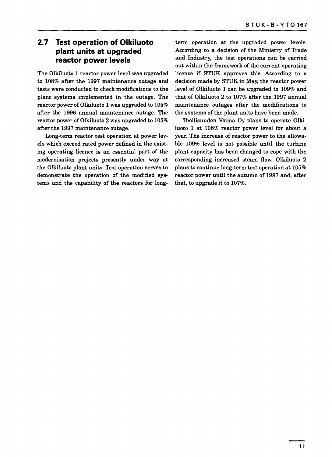#### **2.7 Test operation of Olkiluoto plant units at upgraded reactor power levels**

The Olkiluoto 1 reactor power level was upgraded to 108% after the 1997 maintenance outage and tests were conducted to check modifications to the plant systems implemented in the outage. The reactor power of Olkiluoto 1 was upgraded to 105% after the 1996 annual maintenance outage. The reactor power of Olkiluoto 2 was upgraded to 105% after the 1997 maintenance outage.

Long-term reactor test operation at power levels which exceed rated power defined in the existing operating licence is an essential part of the modernisation projects presently under way at the Olkiluoto plant units. Test operation serves to demonstrate the operation of the modified systems and the capability of the reactors for longterm operation at the upgraded power levels. According to a decision of the Ministry of Trade and Industry, the test operations can be carried out within the framework of the current operating licence if STUK approves this. According to a decision made by STUK in May, the reactor power level of Olkiluoto 1 can be upgraded to 109% and that of Olkiluoto 2 to 107% after the 1997 annual maintenance outages after the modifications to the systems of the plant units have been made.

Teollisuuden Voima Oy plans to operate Olkiluoto 1 at 108% reactor power level for about a year. The increase of reactor power to the allowable 109% level is not possible until the turbine plant capacity has been changed to cope with the corresponding increased steam flow. Olkiluoto 2 plans to continue long-term test operation at 105% reactor power until the autumn of 1997 and, after that, to upgrade it to 107%.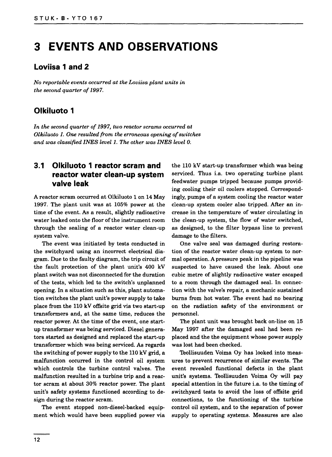### **3 EVENTS AND OBSERVATIONS**

#### **Loviisa 1 and 2**

*No reportable events occurred at the Loviisa plant units in the second quarter of 1997.*

#### **Olkiluoto 1**

*In the second quarter of 1997, two reactor scrams occurred at Olkiluoto 1. One resulted from the erroneous opening of switches and was classified INES level 1. The other was INES level 0.*

#### **3.1 Olkiluoto 1 reactor scram and reactor water clean-up system valve leak**

A reactor scram occurred at Olkiluoto 1 on 14 May 1997. The plant unit was at 105% power at the time of the event. As a result, slightly radioactive water leaked onto the floor of the instrument room through the sealing of a reactor water clean-up system valve.

The event was initiated by tests conducted in the switchyard using an incorrect electrical diagram. Due to the faulty diagram, the trip circuit of the fault protection of the plant unit's 400 kV plant switch was not disconnected for the duration of the tests, which led to the switch's unplanned opening. In a situation such as this, plant automation switches the plant unit's power supply to take place from the 110 kV offsite grid via two start-up transformers and, at the same time, reduces the reactor power. At the time of the event, one startup transformer was being serviced. Diesel generators started as designed and replaced the start-up transformer which was being serviced. As regards the switching of power supply to the 110 kV grid, a malfunction occurred in the control oil system which controls the turbine control valves. The malfunction resulted in a turbine trip and a reactor scram at about 30% reactor power. The plant unit's safety systems functioned according to design during the reactor scram.

The event stopped non-diesel-backed equipment which would have been supplied power via the 110 kV start-up transformer which was being serviced. Thus i.a. two operating turbine plant feedwater pumps tripped because pumps providing cooling their oil coolers stopped. Correspondingly, pumps of a system cooling the reactor water clean-up system cooler also tripped. After an increase in the temperature of water circulating in the clean-up system, the flow of water switched, as designed, to the filter bypass line to prevent damage to the filters.

One valve seal was damaged during restoration of the reactor water clean-up system to normal operation. A pressure peak in the pipeline was suspected to have caused the leak. About one cubic metre of slightly radioactive water escaped to a room through the damaged seal. In connection with the valve's repair, a mechanic sustained burns from hot water. The event had no bearing on the radiation safety of the environment or personnel.

The plant unit was brought back on-line on 15 May 1997 after the damaged seal had been replaced and the the equipment whose power supply was lost had been checked.

Teollisuuden Voima Oy has looked into measures to prevent recurrence of similar events. The event revealed functional defects in the plant unit's systems. Teollisuuden Voima Oy will pay special attention in the future i.a. to the timing of switchyard tests to avoid the loss of offsite grid connections, to the functioning of the turbine control oil system, and to the separation of power supply to operating systems. Measures are also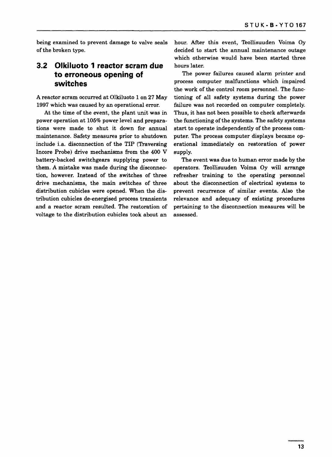being examined to prevent damage to valve seals of the broken type.

#### **3.2 Olkiluoto 1 reactor scram due to erroneous opening of switches**

A reactor scram occurred at Olkiluoto 1 on 27 May 1997 which was caused by an operational error.

At the time of the event, the plant unit was in power operation at 105% power level and preparations were made to shut it down for annual maintenance. Safety measures prior to shutdown include i.a. disconnection of the TIP (Traversing Incore Probe) drive mechanisms from the 400 V battery-backed switchgears supplying power to them. A mistake was made during the disconnection, however. Instead of the switches of three drive mechanisms, the main switches of three distribution cubicles were opened. When the distribution cubicles de-energised process transients and a reactor scram resulted. The restoration of voltage to the distribution cubicles took about an

hour. After this event, Teollisuuden Voima Oy decided to start the annual maintenance outage which otherwise would have been started three hours later.

The power failures caused alarm printer and process computer malfunctions which impaired the work of the control room personnel. The functioning of all safety systems during the power failure was not recorded on computer completely. Thus, it has not been possible to check afterwards the functioning of the systems. The safety systems start to operate independently of the process computer. The process computer displays became operational immediately on restoration of power supply.

The event was due to human error made by the operators. Teollisuuden Voima Oy will arrange refresher training to the operating personnel about the disconnection of electrical systems to prevent recurrence of similar events. Also the relevance and adequacy of existing procedures pertaining to the disconnection measures will be assessed.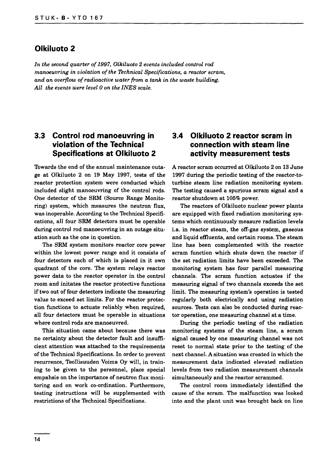#### **Olkiluoto 2**

*In the second quarter of 1997, Olkiluoto 2 events included control rod manoeuvring in violation of the Technical Specifications, a reactor scram, and an overflow of radioactive water from a tank in the waste building. All the events were level 0 on the INES scale.*

#### **3.3 Control rod manoeuvring in violation of the Technical Specifications at Olkiluoto 2**

Towards the end of the annual maintenance outage at Olkiluoto 2 on 19 May 1997, tests of the reactor protection system were conducted which included slight manoeuvring of the control rods. One detector of the SRM (Source Range Monitoring) system, which measures the neutron flux, was inoperable. According to the Technical Specifications, all four SRM detectors must be operable during control rod manoeuvring in an outage situation such as the one in question.

The SRM system monitors reactor core power within the lowest power range and it consists of four detectors each of which is placed in it own quadrant of the core. The system relays reactor power data to the reactor operator in the control room and initates the reactor protective functions if two out of four detectors indicate the measuring value to exceed set limits. For the reactor protection functions to actuate reliably when required, all four detectors must be operable in situations where control rods are manoeuvred.

This situation came about because there was no certainty about the detector fault and insufficient attention was attached to the requirements of the Technical Specifications. In order to prevent recurrence, Teollisuuden Voima Oy will, in training to be given to the personnel, place special empahsis on the importance of neutron flux monitoring and on work co-ordination. Furthermore, testing instructions will be supplemented with restrictions of the Technical Specifications.

#### **3.4 Olkiluoto 2 reactor scram in connection with steam line activity measurement tests**

A reactor scram occurred at Olkiluoto 2 on 13 June 1997 during the periodic testing of the reactor-toturbine steam line radiation monitoring system. The testing caused a spurious scram signal and a reactor shutdown at 105% power.

The reactors of Olkiluoto nuclear power plants are equipped with fixed radiation monitoring systems which continuously measure radiation levels i.a. in reactor steam, the off-gas system, gaseous and liquid effluents, and certain rooms. The steam line has been complemented with the reactor scram function which shuts down the reactor if the set radiation limits have been exceeded. The monitoring system has four parallel measuring channels. The scram function actuates if the measuring signal of two channels exceeds the set limit. The measuring system's operation is tested regularly both electrically and using radiation sources. Tests can also be conducted during reactor operation, one measuring channel at a time.

During the periodic testing of the radiation monitoring systems of the steam line, a scram signal caused by one measuring channel was not reset to normal state prior to the testing of the next channel. A situation was created in which the measurement data indicated elevated radiation levels from two radiation measurement channels simultaneously and the reactor scrammed.

The control room immediately identified the cause of the scram. The malfunction was looked into and the plant unit was brought back on line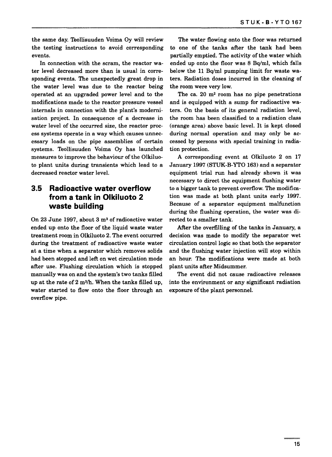the same day. Teollisuuden Voima Oy will review the testing instructions to avoid corresponding events.

In connection with the scram, the reactor water level decreased more than is usual in corresponding events. The unexpectedly great drop in the water level was due to the reactor being operated at an upgraded power level and to the modifications made to the reactor pressure vessel internals in connection with the plant's modernisation project. In consequence of a decrease in water level of the occurred size, the reactor process systems operate in a way which causes unnecessary loads on the pipe assemblies of certain systems. Teollisuuden Voima Oy has launched measures to improve the behaviour of the Olkiluoto plant units during transients which lead to a decreased reactor water level.

#### **3.5 Radioactive water overflow from a tank in Olkiluoto 2 waste building**

On 23 June 1997, about 3 m<sup>3</sup> of radioactive water ended up onto the floor of the liquid waste water treatment room in Olkiluoto 2. The event occurred during the treatment of radioactive waste water at a time when a separator which removes solids had been stopped and left on wet circulation mode after use. Flushing circulation which is stopped manually was on and the system's two tanks filled up at the rate of  $2 \text{ m}^3$ /h. When the tanks filled up, water started to flow onto the floor through an overflow pipe.

The water flowing onto the floor was returned to one of the tanks after the tank had been partially emptied. The activity of the water which ended up onto the floor was 8 Bq/ml, which falls below the 11 Bq/ml pumping limit for waste waters. Radiation doses incurred in the cleaning of the room were very low.

The ca. 20  $m^2$  room has no pipe penetrations and is equipped with a sump for radioactive waters. On the basis of its general radiation level, the room has been classified to a radiation class (orange area) above basic level. It is kept closed during normal operation and may only be accessed by persons with special training in radiation protection.

A corresponding event at Olkiluoto 2 on 17 January 1997 (STUK-B-YTO 163) and a separator equipment trial run had already shown it was necessary to direct the equipment flushing water to a bigger tank to prevent overflow. The modification was made at both plant units early 1997. Because of a separator equipment malfunction during the flushing operation, the water was directed to a smaller tank.

After the overfilling of the tanks in January, a decision was made to modify the separator wet circulation control logic so that both the separator and the flushing water injection will stop within an hour. The modifications were made at both plant units after Midsummer.

The event did not cause radioactive releases into the environment or any significant radiation exposure of the plant personnel.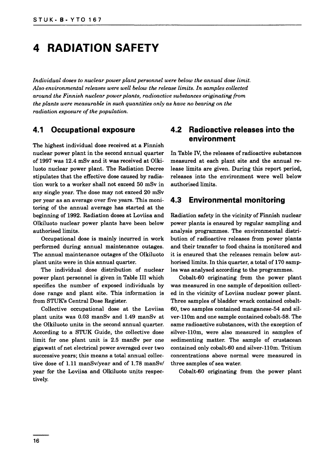### **4 RADIATION SAFETY**

*Individual doses to nuclear power plant personnel were below the annual dose limit. Also environmental releases were well below the release limits. In samples collected around the Finnish nuclear power plants, radioactive substances originating from the plants were measurable in such quantities only as have no bearing on the radiation exposure of the population.*

#### **4.1 Occupational exposure**

The highest individual dose received at a Finnish nuclear power plant in the second annual quarter of 1997 was 12.4 mSv and it was received at Olkiluoto nuclear power plant. The Radiation Decree stipulates that the effective dose caused by radiation work to a worker shall not exceed 50 mSv in any single year. The dose may not exceed 20 mSv per year as an average over five years. This monitoring of the annual average has started at the beginning of 1992. Radiation doses at Loviisa and Olkiluoto nuclear power plants have been below authorised limits.

Occupational dose is mainly incurred in work performed during annual maintenance outages. The annual maintenance outages of the Olkiluoto plant units were in this annual quarter.

The individual dose distribution of nuclear power plant personnel is given in Table III which specifies the number of exposed individuals by dose range and plant site. This information is from STUK's Central Dose Register.

Collective occupational dose at the Loviisa plant units was 0.03 manSv and 1.49 manSv at the Olkiluoto units in the second annual quarter. According to a STUK Guide, the collective dose limit for one plant unit is 2.5 manSv per one gigawatt of net electrical power averaged over two successive years; this means a total annual collective dose of 1.11 manSv/year and of 1.78 manSv/ year for the Loviisa and Olkiluoto units respectively.

#### **4.2 Radioactive releases into the environment**

In Table IV, the releases of radioactive substances measured at each plant site and the annual release limits are given. During this report period, releases into the environment were well below authorised limits.

#### **4.3 Environmental monitoring**

Radiation safety in the vicinity of Finnish nuclear power plants is ensured by regular sampling and analysis programmes. The environmental distribution of radioactive releases from power plants and their transfer to food chains is monitored and it is ensured that the releases remain below authorised limits. In this quarter, a total of 170 samples was analysed according to the programmes.

Cobalt-60 originating from the power plant was measured in one sample of deposition collected in the vicinity of Loviisa nuclear power plant. Three samples of bladder wrack contained cobalt-60, two samples contained manganese-54 and silver-110m and one sample contained cobalt-58. The same radioactive substances, with the exception of silver-110m, were also measured in samples of sedimenting matter. The sample of crustacean contained only cobalt-60 and silver-110m. Tritium concentrations above normal were measured in three samples of sea water.

Cobalt-60 originating from the power plant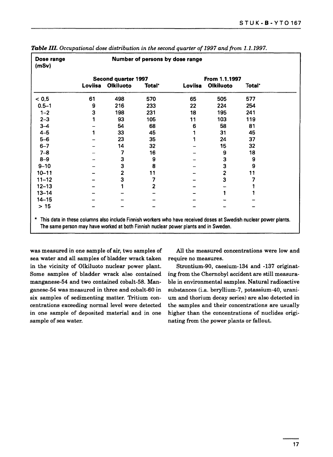| Dose range<br>(mSv) | Number of persons by dose range |                                         |                |         |                                   |                    |  |
|---------------------|---------------------------------|-----------------------------------------|----------------|---------|-----------------------------------|--------------------|--|
|                     | Loviisa                         | Second quarter 1997<br><b>Olkiluoto</b> | <b>Total</b> ' | Loviisa | From 1.1.1997<br><b>Olkiluoto</b> | Total <sup>*</sup> |  |
| < 0.5               | 61                              | 498                                     | 570            | 65      | 505                               | 577                |  |
| $0.5 - 1$           | 9                               | 216                                     | 233            | 22      | 224                               | 254                |  |
| $1 - 2$             | 3                               | 198                                     | 231            | 18      | 195                               | 241                |  |
| $2 - 3$             |                                 | 93                                      | 105            | 11      | 103                               | 119                |  |
| $3 - 4$             |                                 | 54                                      | 68             | 6       | 58                                | 81                 |  |
| $4-5$               |                                 | 33                                      | 45             |         | 31                                | 45                 |  |
| $5-6$               |                                 | 23                                      | 35             |         | 24                                | 37                 |  |
| $6 - 7$             |                                 | 14                                      | 32             |         | 15                                | 32                 |  |
| $7 - 8$             |                                 | 7                                       | 16             |         | 9                                 | 18                 |  |
| $8 - 9$             |                                 | 3                                       | 9              |         | 3                                 | 9                  |  |
| $9 - 10$            |                                 | 3                                       | 8              |         | 3                                 | 9                  |  |
| $10 - 11$           |                                 | 2                                       | 11             |         | $\overline{c}$                    | 11                 |  |
| $11 - 12$           |                                 | 3                                       | 7              |         | 3                                 |                    |  |
| $12 - 13$           |                                 |                                         | $\overline{2}$ |         |                                   |                    |  |
| $13 - 14$           |                                 |                                         |                |         |                                   |                    |  |
| $14 - 15$           |                                 |                                         |                |         |                                   |                    |  |
| $>15$               |                                 |                                         |                |         |                                   |                    |  |

Table **III.** Occupational dose distribution in the second quarter of 1997 and from 1.1.1997.

was measured in one sample of air, two samples of sea water and all samples of bladder wrack taken in the vicinity of Olkiluoto nuclear power plant. Some samples of bladder wrack also contained manganese-54 and two contained cobalt-58. Manganese-54 was measured in three and cobalt-60 in six samples of sedimenting matter. Tritium concentrations exceeding normal level were detected in one sample of deposited material and in one sample of sea water.

All the measured concentrations were low and require no measures.

Strontium-90, caesium-134 and -137 originating from the Chernobyl accident are still measurable in environmental samples. Natural radioactive substances (i.a. beryllium-7, potassium-40, uranium and thorium decay series) are also detected in the samples and their concentrations are usually higher than the concentrations of nuclides originating from the power plants or fallout.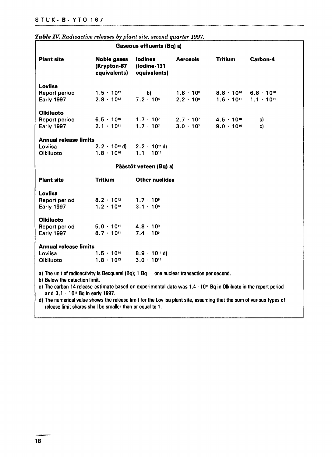| Gaseous effluents (Bq) a)                                                                                                                                                                                                                                       |                                                   |                                               |                                          |                                            |                                            |
|-----------------------------------------------------------------------------------------------------------------------------------------------------------------------------------------------------------------------------------------------------------------|---------------------------------------------------|-----------------------------------------------|------------------------------------------|--------------------------------------------|--------------------------------------------|
| <b>Plant site</b>                                                                                                                                                                                                                                               | <b>Noble gases</b><br>(Krypton-87<br>equivalents) | <b>lodines</b><br>(lodine-131<br>equivalents) | <b>Aerosols</b>                          | <b>Tritium</b>                             | Carbon-4                                   |
| <b>Loviisa</b>                                                                                                                                                                                                                                                  |                                                   |                                               |                                          |                                            |                                            |
| <b>Report period</b><br>Early 1997                                                                                                                                                                                                                              | $1.5 \cdot 10^{12}$<br>$2.8 \cdot 10^{12}$        | b)<br>$7.2 \cdot 10^{4}$                      | $1.8 \cdot 10^{6}$<br>$2.2 \cdot 10^{8}$ | $8.8 \cdot 10^{10}$<br>$1.6 \cdot 10^{11}$ | $6.8 \cdot 10^{10}$<br>$1.1 \cdot 10^{11}$ |
| Olkiluoto                                                                                                                                                                                                                                                       |                                                   |                                               |                                          |                                            |                                            |
| <b>Report period</b>                                                                                                                                                                                                                                            | $6.5 \cdot 10^{10}$                               | $1.7 \cdot 10$                                | $2.7 \cdot 10^{7}$                       | $4.5 \cdot 10^{10}$                        | c)                                         |
| <b>Early 1997</b>                                                                                                                                                                                                                                               | $2.1 \cdot 10^{11}$                               | $1.7 \cdot 10^{7}$                            | $3.0 \cdot 10^{7}$                       | $9.0 \cdot 10^{10}$                        | c)                                         |
| <b>Annual release limits</b>                                                                                                                                                                                                                                    |                                                   |                                               |                                          |                                            |                                            |
| Loviisa                                                                                                                                                                                                                                                         | $2.2 \cdot 10^{16}$ d)                            | $2.2 \cdot 10$ <sup>1</sup> d)                |                                          |                                            |                                            |
| Olkiluoto                                                                                                                                                                                                                                                       | $1.8 \cdot 10^{16}$                               | $1.1 \cdot 10^{11}$                           |                                          |                                            |                                            |
|                                                                                                                                                                                                                                                                 |                                                   | Päästöt veteen (Bq) a)                        |                                          |                                            |                                            |
| <b>Plant site</b>                                                                                                                                                                                                                                               | <b>Tritium</b>                                    | <b>Other nuclides</b>                         |                                          |                                            |                                            |
| <b>Loviisa</b>                                                                                                                                                                                                                                                  |                                                   |                                               |                                          |                                            |                                            |
| <b>Report period</b>                                                                                                                                                                                                                                            | $8.2 \cdot 10^{12}$                               | $1.7 \cdot 10^{6}$                            |                                          |                                            |                                            |
| Early 1997                                                                                                                                                                                                                                                      | $1.2 \cdot 10^{13}$                               | $3.1 \cdot 10^{6}$                            |                                          |                                            |                                            |
| <b>Olkiluoto</b>                                                                                                                                                                                                                                                |                                                   |                                               |                                          |                                            |                                            |
| <b>Report period</b>                                                                                                                                                                                                                                            | $5.0 \cdot 10$ <sup>11</sup>                      | $4.8 \cdot 10^9$                              |                                          |                                            |                                            |
| <b>Early 1997</b>                                                                                                                                                                                                                                               | $8.7 \cdot 10^{11}$                               | $7.4 \cdot 10^9$                              |                                          |                                            |                                            |
| <b>Annual release limits</b>                                                                                                                                                                                                                                    |                                                   |                                               |                                          |                                            |                                            |
| Loviisa                                                                                                                                                                                                                                                         | $1.5 \cdot 10^{14}$                               | $8.9 \cdot 10^{11}$ d)                        |                                          |                                            |                                            |
| Olkiluoto                                                                                                                                                                                                                                                       | $1.8 \cdot 10^{13}$                               | $3.0 \cdot 10$ <sup>11</sup>                  |                                          |                                            |                                            |
| a) The unit of radioactivity is Becquerel (Bq); $1 \text{ Bq} = \text{one nuclear transaction per second.}$<br>b) Below the detection limit.<br>c) The carbon-14 release-estimate based on experimental data was 1.4 · 10" Bq in Olkiluoto in the report period |                                                   |                                               |                                          |                                            |                                            |

#### *Table TV. Radioactive releases by plant site, second quarter 1997.*

and 3,1 • 10" Bq in early 1997. d) The numerical value shows the release limit for the Loviisa plant site, assuming that the sum of various types of

release limit shares shall be smaller than or equal to 1.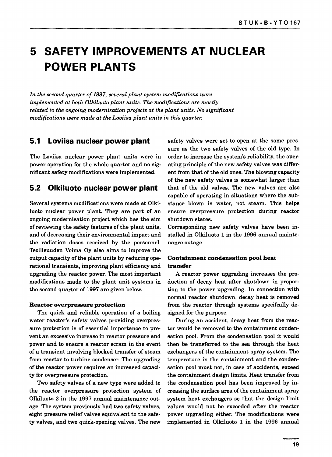### **5 SAFETY IMPROVEMENTS AT NUCLEAR POWER PLANTS**

*In the second quarter of 1997, several plant system modifications were implemented at both Olkiluoto plant units. The modifications are mostly related to the ongoing modernisation projects at the plant units. No significant modifications were made at the Loviisa plant units in this quarter.*

#### **5.1 Loviisa nuclear power plant**

The Loviisa nuclear power plant units were in power operation for the whole quarter and no significant safety modifications were implemented.

#### **5.2 Olkiluoto nuclear power plant**

Several systems modifications were made at Olkiluoto nuclear power plant. They are part of an ongoing modernisation project which has the aim of reviewing the safety features of the plant units, and of decreasing their environmental impact and the radiation doses received by the personnel. Teollisuuden Voima Oy also aims to improve the output capacity of the plant units by reducing operational transients, improving plant efficiency and upgrading the reactor power. The most important modifications made to the plant unit systems in the second quarter of 1997 are given below.

#### **Reactor overpressure protection**

The quick and reliable operation of a boiling water reactor's safety valves providing overpressure protection is of essential importance to prevent an excessive increase in reactor pressure and power and to ensure a reactor scram in the event of a transient involving blocked transfer of steam from reactor to turbine condenser. The upgrading of the reactor power requires an increased capacity for overpressure protection.

Two safety valves of a new type were added to the reactor overpressure protection system of Olkiluoto 2 in the 1997 annual maintenance outage. The system previously had two safety valves, eight pressure relief valves equivalent to the safety valves, and two quick-opening valves. The new

safety valves were set to open at the same pressure as the two safety valves of the old type. In order to increase the system's reliability, the operating principle of the new safety valves was different from that of the old ones. The blowing capacity of the new safety valves is somewhat larger than that of the old valves. The new valves are also capable of operating in situations where the substance blown is water, not steam. This helps ensure overpressure protection during reactor shutdown states.

Corresponding new safety valves have been installed in Olkiluoto 1 in the 1996 annual maintenance outage.

#### **Containment condensation pool heat transfer**

A reactor power upgrading increases the production of decay heat after shutdown in proportion to the power upgrading. In connection with normal reactor shutdown, decay heat is removed from the reactor through systems specifcally designed for the purpose.

During an accident, decay heat from the reactor would be removed to the containment condensation pool. From the condensation pool it would then be transferred to the sea through the heat exchangers of the containment spray system. The temperature in the containment and the condensation pool must not, in case of accidents, exceed the containment design limits. Heat transfer from the condensation pool has been improved by increasing the surface area of the containment spray system heat exchangers so that the design limit values would not be exceeded after the reactor power upgrading either. The modifications were implemented in Olkiluoto 1 in the 1996 annual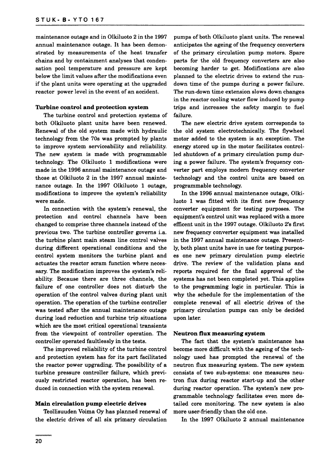maintenance outage and in Olkiluoto 2 in the 1997 annual maintenance outage. It has been demonstrated by measurements of the heat transfer chains and by containment analyses that condensation pool temperature and pressure are kept below the limit values after the modifications even if the plant units were operating at the upgraded reactor power level in the event of an accident.

#### **Turbine control and protection system**

The turbine control and protection systems of both Olkiluoto plant units have been renewed. Renewal of the old system made with hydraulic technology from the 70s was prompted by plants to improve system serviceability and reliability. The new system is made with programmable technology. The Olkiluoto 1 modifications were made in the 1996 annual maintenance outage and those at Olkiluoto 2 in the 1997 annual maintenance outage. In the 1997 Olkiluoto 1 outage, modifications to improve the system's reliability were made.

In connection with the system's renewal, the protection and control channels have been changed to comprise three channels instead of the previous two. The turbine controller governs i.a. the turbine plant main steam line control valves during different operational conditions and the control system monitors the turbine plant and actuates the reactor scram function where necessary. The modification improves the system's reliability. Because there are three channels, the failure of one controller does not disturb the operation of the control valves during plant unit operation. The operation of the turbine controller was tested after the annual maintenance outage during load reduction and turbine trip situations which are the most critical operational transients from the viewpoint of controller operation. The controller operated faultlessly in the tests.

The improved reliability of the turbine control and protection system has for its part facilitated the reactor power upgrading. The possibility of a turbine pressure controller failure, which previously restricted reactor operation, has been reduced in connection with the system renewal.

#### **Main circulation** pump **electric drives**

Teollisuuden Voima Oy has planned renewal of the electric drives of all six primary circulation

pumps of both Olkiluoto plant units. The renewal anticipates the ageing of the frequency converters of the primary circulation pump motors. Spare parts for the old frequency converters are also becoming harder to get. Modifications are also planned to the electric drives to extend the rundown time of the pumps during a power failure. The run-down time extension slows down changes in the reactor cooling water flow induced by pump trips and increases the safety margin to fuel failure.

The new electric drive system corresponds to the old system electrotechnically. The flywheel motor added to the system is an exception. The energy stored up in the motor facilitates controlled shutdown of a primary circulation pump during a power failure. The system's frequency converter part employs modern frequency converter technology and the control units are based on programmable technology.

In the 1996 annual maintenance outage, Olkiluoto 1 was fitted with its first new frequency converter equipment for testing purposes. The equipment's control unit was replaced with a more efficent unit in the 1997 outage. Olkiluoto 2's first new frequency converter equipment was installed in the 1997 annual maintenance outage. Presently, both plant units have in use for testing purposes one new primary circulation pump electric drive. The review of the validation plans and reports required for the final approval of the systems has not been completed yet. This applies to the programming logic in particular. This is why the schedule for the implementation of the complete renewal of all electric drives of the primary circulation pumps can only be decided upon later.

#### **Neutron flux measuring system**

The fact that the system's maintenance has become more difficult with the ageing of the technology used has prompted the renewal of the neutron flux measuring system. The new system consists of two sub-systems: one measures neutron flux during reactor start-up and the other during reactor operation. The system's new programmable technology facilitates even more detailed core monitoring. The new system is also more user-friendly than the old one.

In the 1997 Olkiluoto 2 annual maintenance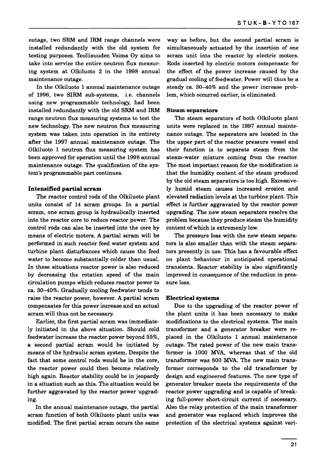outage, two SRM and IRM range channels were installed redundantly with the old system for testing purposes. Teollisuuden Voima Oy aims to take into service the entire neutron flux measuring system at Olkiluoto 2 in the 1998 annual maintenance outage.

In the Olkiluoto 1 annual maintenance outage of 1996, two SIRM sub-systems, i.e. channels using new programmable technology, had been installed redundantly with the old SRM and IRM range neutron flux measuring systems to test the new technology. The new neutron flux measuring system was taken into operation in its entirety after the 1997 annual maintenance outage. The Olkiluoto 1 neutron flux measuring system has been approved for operation until the 1998 annual maintenance outage. The qualification of the system's programmable part continues.

#### **Intensified partial scram**

The reactor control rods of the Olkiluoto plant units consist of 14 scram groups. In a partial scram, one scram group is hydraulically inserted into the reactor core to reduce reactor power. The control rods can also be inserted into the core by means of electric motors. A partial scram will be performed in such reactor feed water system and turbine plant disturbances which cause the feed water to become substantially colder than usual. In these situations reactor power is also reduced by decreasing the rotation speed of the main circulation pumps which reduces reactor power to ca. 30—40%. Gradually cooling feedwater tends to raise the reactor power, however. A partial scram compensates for this power increase and an actual scram will thus not be necessary.

Earlier, the first partial scram was immediately initiated in the above situation. Should cold feedwater increase the reactor power beyond 55%, a second partial scram would be initiated by means of the hydraulic scram system. Despite the fact that some control rods would be in the core, the reactor power could then become relatively high again. Reactor stability could be in jeopardy in a situation such as this. The situation would be further aggravated by the reactor power upgrading.

In the annual maintenance outage, the partial scram function of both Olkiluoto plant units was modified. The first partial scram occurs the same

way as before, but the second partial scram is simultaneously actuated by the insertion of one scram unit into the reactor by electric motors. Rods inserted by electric motors compensate for the effect of the power increase caused by the gradual cooling of feedwater. Power will thus be a steady ca. 30-40% and the power increase problem, which occurred earlier, is eliminated.

#### **Steam separators**

The steam separators of both Olkiluoto plant units were replaced in the 1997 annual maintenance outage. The separators are located in the the upper part of the reactor pressure vessel and their function is to separate steam from the steam-water mixture coming from the reactor. The most important reason for the modification is that the humidity content of the steam produced by the old steam separators is too high. Excessively humid steam causes increased erosion and elevated radiation levels at the turbine plant. This effect is further aggravated by the reactor power upgrading. The new steam separators resolve the problem because they produce steam the humidity content of which is extremenly low.

The pressure loss with the new steam separators is also smaller than with the steam separators presently in use. This has a favourable effect on plant behaviour in anticipated operational transients. Reactor stability is also significantly improved in consequence of the reduction in pressure loss.

#### **Electrical systems**

Due to the upgrading of the reactor power of the plant units it has been necessary to make modifications to the electrical systems. The main transformer and a generator breaker were replaced in the Olkiluoto 1 annual maintenance outage. The rated power of the new main transformer is 1000 MVA, whereas that of the old transformer was 800 MVA. The new main transformer corresponds to the old transformer by design and engineered features. The new type of generator breaker meets the requirements of the reactor power upgrading and is capable of breaking full-power short-circuit current if necessary. Also the relay protection of the main transformer and generator was replaced which improves the protection of the electrical systems against vari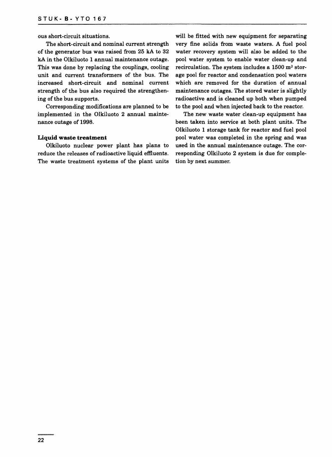ous short-circuit situations.

The short-circuit and nominal current strength of the generator bus was raised from 25 kA to 32 kA in the Olkiluoto 1 annual maintenance outage. This was done by replacing the couplings, cooling unit and current transformers of the bus. The increased short-circuit and nominal current strength of the bus also required the strengthening of the bus supports.

Corresponding modifications are planned to be implemented in the Olkiluoto 2 annual maintenance outage of 1998.

#### **Liquid waste treatment**

Olkiluoto nuclear power plant has plans to reduce the releases of radioactive liquid effluents. The waste treatment systems of the plant units will be fitted with new equipment for separating very fine solids from waste waters. A fuel pool water recovery system will also be added to the pool water system to enable water clean-up and  ${\tt recirculation}.$  The system includes a  $1500~{\tt m}^3$  storage pool for reactor and condensation pool waters which are removed for the duration of annual maintenance outages. The stored water is slightly radioactive and is cleaned up both when pumped to the pool and when injected back to the reactor.

The new waste water clean-up equipment has been taken into service at both plant units. The Olkiluoto 1 storage tank for reactor and fuel pool pool water was completed in the spring and was used in the annual maintenance outage. The corresponding Olkiluoto 2 system is due for completion by next summer.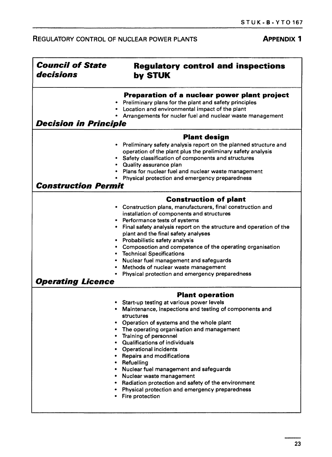#### REGULATORY CONTROL OF NUCLEAR POWER PLANTS **APPENDIX 1**

| <b>Council of State</b><br>decisions | <b>Regulatory control and inspections</b><br>by STUK                                                                                                                                                                                                                                                                                                                                                                                                                                                                                                                                          |  |  |  |  |
|--------------------------------------|-----------------------------------------------------------------------------------------------------------------------------------------------------------------------------------------------------------------------------------------------------------------------------------------------------------------------------------------------------------------------------------------------------------------------------------------------------------------------------------------------------------------------------------------------------------------------------------------------|--|--|--|--|
|                                      | Preparation of a nuclear power plant project<br>Preliminary plans for the plant and safety principles<br>• Location and environmental impact of the plant<br>Arrangements for nucler fuel and nuclear waste management                                                                                                                                                                                                                                                                                                                                                                        |  |  |  |  |
| <b>Decision in Principle</b>         |                                                                                                                                                                                                                                                                                                                                                                                                                                                                                                                                                                                               |  |  |  |  |
|                                      | <b>Plant design</b>                                                                                                                                                                                                                                                                                                                                                                                                                                                                                                                                                                           |  |  |  |  |
|                                      | • Preliminary safety analysis report on the planned structure and<br>operation of the plant plus the preliminary safety analysis<br>• Safety classification of components and structures<br>• Quality assurance plan<br>Plans for nuclear fuel and nuclear waste management<br>• Physical protection and emergency preparedness                                                                                                                                                                                                                                                               |  |  |  |  |
| <b>Construction Permit</b>           |                                                                                                                                                                                                                                                                                                                                                                                                                                                                                                                                                                                               |  |  |  |  |
|                                      |                                                                                                                                                                                                                                                                                                                                                                                                                                                                                                                                                                                               |  |  |  |  |
| <b>Operating Licence</b>             | <b>Construction of plant</b><br>Construction plans, manufacturers, final construction and<br>installation of components and structures<br>Performance tests of systems<br>Final safety analysis report on the structure and operation of the<br>plant and the final safety analyses<br>Probabilistic safety analysis<br>Composotion and competence of the operating organisation<br><b>Technical Specifications</b><br>Nuclear fuel management and safeguards<br>Methods of nuclear waste management<br>Physical protection and emergency preparedness                                        |  |  |  |  |
|                                      | <b>Plant operation</b>                                                                                                                                                                                                                                                                                                                                                                                                                                                                                                                                                                        |  |  |  |  |
|                                      | Start-up testing at various power levels<br>Maintenance, inspections and testing of components and<br>structures<br>Operation of systems and the whole plant<br>The operating organisation and management<br>Training of personnel<br>• Qualifications of individuals<br><b>Operational incidents</b><br>۰<br>• Repairs and modifications<br>Refuelling<br>$\bullet$<br>Nuclear fuel management and safeguards<br>$\bullet$<br>• Nuclear waste management<br>• Radiation protection and safety of the environment<br>Physical protection and emergency preparedness<br><b>Fire protection</b> |  |  |  |  |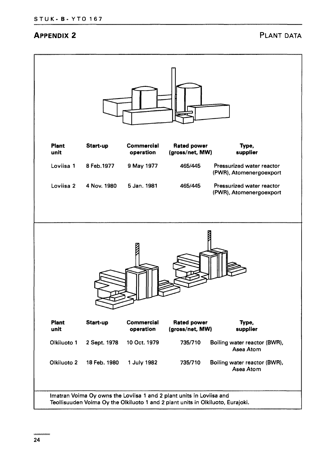#### **APPENDIX 2 PLANT DATA**

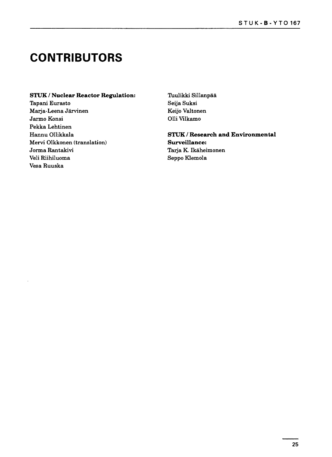### **CONTRIBUTORS**

#### **STUK / Nuclear Reactor Regulation:**

Tapani Eurasto Marja-Leena Jarvinen Jarmo Konsi Pekka Lehtinen Hannu Ollikkala Mervi Olkkonen (translation) Jorma Rantakivi Veli Riihiluoma Vesa Ruuska

Tuulikki Sillanpää Seija Suksi Keijo Valtonen Olli Vilkamo

STUK / Research and Environmental Surveillance: Tarja K. Ikäheimonen Seppo Klemola